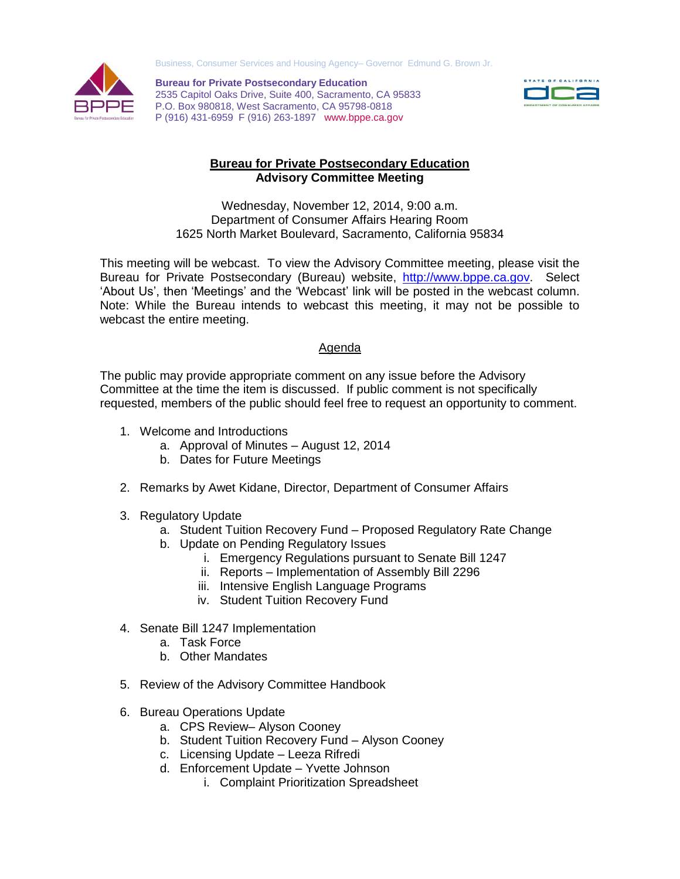Business, Consumer Services and Housing Agency– Governor Edmund G. Brown Jr.



**Bureau for Private Postsecondary Education** 2535 Capitol Oaks Drive, Suite 400, Sacramento, CA 95833 P.O. Box 980818, West Sacramento, CA 95798-0818 P (916) 431-6959 F (916) 263-1897 www.bppe.ca.gov



## **Bureau for Private Postsecondary Education Advisory Committee Meeting**

Wednesday, November 12, 2014, 9:00 a.m. Department of Consumer Affairs Hearing Room 1625 North Market Boulevard, Sacramento, California 95834

This meeting will be webcast. To view the Advisory Committee meeting, please visit the Bureau for Private Postsecondary (Bureau) website, [http://www.bppe.ca.gov.](http://www.bppe.ca.gov/) Select 'About Us', then 'Meetings' and the 'Webcast' link will be posted in the webcast column. Note: While the Bureau intends to webcast this meeting, it may not be possible to webcast the entire meeting.

## Agenda

The public may provide appropriate comment on any issue before the Advisory Committee at the time the item is discussed. If public comment is not specifically requested, members of the public should feel free to request an opportunity to comment.

- 1. Welcome and Introductions
	- a. Approval of Minutes August 12, 2014
	- b. Dates for Future Meetings
- 2. Remarks by Awet Kidane, Director, Department of Consumer Affairs
- 3. Regulatory Update
	- a. Student Tuition Recovery Fund Proposed Regulatory Rate Change
	- b. Update on Pending Regulatory Issues
		- i. Emergency Regulations pursuant to Senate Bill 1247
		- ii. Reports Implementation of Assembly Bill 2296
		- iii. Intensive English Language Programs
		- iv. Student Tuition Recovery Fund
- 4. Senate Bill 1247 Implementation
	- a. Task Force
	- b. Other Mandates
- 5. Review of the Advisory Committee Handbook
- 6. Bureau Operations Update
	- a. CPS Review– Alyson Cooney
	- b. Student Tuition Recovery Fund Alyson Cooney
	- c. Licensing Update Leeza Rifredi
	- d. Enforcement Update Yvette Johnson
		- i. Complaint Prioritization Spreadsheet